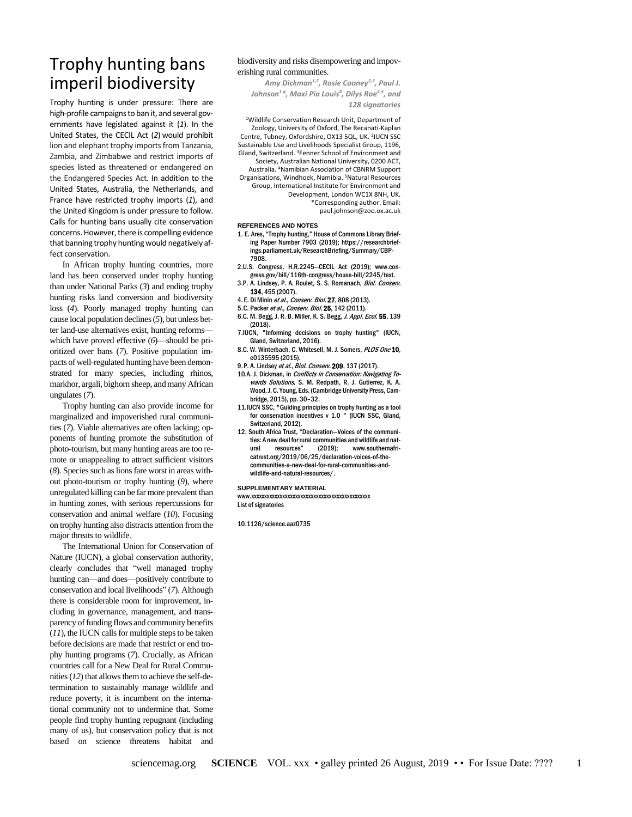# Trophy hunting bans imperil biodiversity

Trophy hunting is under pressure: There are high-profile campaigns to ban it, and several governments have legislated against it (*1*). In the United States, the CECIL Act (*2*) would prohibit lion and elephant trophy imports from Tanzania, Zambia, and Zimbabwe and restrict imports of species listed as threatened or endangered on the Endangered Species Act. In addition to the United States, Australia, the Netherlands, and France have restricted trophy imports (*1*), and the United Kingdom is under pressure to follow. Calls for hunting bans usually cite conservation concerns. However, there is compelling evidence that banning trophy hunting would negatively affect conservation.

In African trophy hunting countries, more land has been conserved under trophy hunting than under National Parks (*3*) and ending trophy hunting risks land conversion and biodiversity loss (*4*). Poorly managed trophy hunting can cause local population declines (*5*), but unless better land-use alternatives exist, hunting reforms which have proved effective (*6*)—should be prioritized over bans (*7*). Positive population impacts of well-regulated hunting have been demonstrated for many species, including rhinos, markhor, argali, bighorn sheep, and many African ungulates (*7*).

Trophy hunting can also provide income for marginalized and impoverished rural communities (*7*). Viable alternatives are often lacking; opponents of hunting promote the substitution of photo-tourism, but many hunting areas are too remote or unappealing to attract sufficient visitors (*8*). Species such as lions fare worst in areas without photo-tourism or trophy hunting (*9*), where unregulated killing can be far more prevalent than in hunting zones, with serious repercussions for conservation and animal welfare (*10*). Focusing on trophy hunting also distracts attention from the major threats to wildlife.

The International Union for Conservation of Nature (IUCN), a global conservation authority, clearly concludes that "well managed trophy hunting can—and does—positively contribute to conservation and local livelihoods" (*7*). Although there is considerable room for improvement, including in governance, management, and transparency of funding flows and community benefits (*11*), the IUCN calls for multiple steps to be taken before decisions are made that restrict or end trophy hunting programs (*7*). Crucially, as African countries call for a New Deal for Rural Communities(*12*) that allows them to achieve the self-determination to sustainably manage wildlife and reduce poverty, it is incumbent on the international community not to undermine that. Some people find trophy hunting repugnant (including many of us), but conservation policy that is not based on science threatens habitat and

### biodiversity and risks disempowering and impoverishing rural communities.

*Amy Dickman1,2, Rosie Cooney2,3, Paul J. Johnson<sup>1</sup> \*, Maxi Pia Louis<sup>4</sup> , Dilys Roe2,5, and 128 signatories*

<sup>1</sup>Wildlife Conservation Research Unit, Department of Zoology, University of Oxford, The Recanati-Kaplan Centre, Tubney, Oxfordshire, OX13 5QL, UK. 2 IUCN SSC Sustainable Use and Livelihoods Specialist Group, 1196, Gland, Switzerland. <sup>3</sup>Fenner School of Environment and Society, Australian National University, 0200 ACT, Australia. <sup>4</sup>Namibian Association of CBNRM Support Organisations, Windhoek, Namibia. <sup>5</sup>Natural Resources Group, International Institute for Environment and Development, London WC1X 8NH, UK. \*Corresponding author. Email: paul.johnson@zoo.ox.ac.uk

### **REFERENCES AND NOTES**

- 1. E. Ares, "Trophy hunting," House of Commons Library Briefing Paper Number 7903 (2019); https://researchbriefings.parliament.uk/ResearchBriefing/Summary/CBP-7908.
- 2.U.S. Congress, H.R.2245—CECIL Act (2019); www.congress.gov/bill/116th-congress/house-bill/2245/text.
- 3.P. A. Lindsey, P. A. Roulet, S. S. Romanach, Biol. Conserv. 134, 455 (2007).
- 4. E. Di Minin et al., Conserv. Biol. 27, 808 (2013).
- 5.C. Packer et al., Conserv. Biol. 25, 142 (2011).
- 6.C. M. Begg, J. R. B. Miller, K. S. Begg, J. Appl. Ecol. 55, 139 (2018).
- 7.IUCN, "Informing decisions on trophy hunting" (IUCN, Gland, Switzerland, 2016).
- 8.C. W. Winterbach, C. Whitesell, M. J. Somers, PLOS One 10, e0135595 (2015).
- 9.P. A. Lindsey et al., Biol. Conserv. 209, 137 (2017).
- 10.A. J. Dickman, in Conflicts in Conservation: Navigating Towards Solutions, S. M. Redpath, R. J. Gutierrez, K. A. Wood, J. C. Young, Eds. (Cambridge University Press, Cambridge, 2015), pp. 30–32.
- 11.IUCN SSC, "Guiding principles on trophy hunting as a tool for conservation incentives v 1.0 " (IUCN SSC, Gland, Switzerland, 2012).
- 12. South Africa Trust, "Declaration—Voices of the communities: A new deal for rural communities and wildlife and nat-<br>ural resources" (2019); www.southernafriural resources" (2019); www.southernafricatrust.org/2019/06/25/declaration-voices-of-thecommunities-a-new-deal-for-rural-communities-andwildlife-and-natural-resources/.

#### **SUPPLEMENTARY MATERIAL**

www.xxxxxxxxxxxxxxxxxxxxxxxxxxxxxxxxxxxxxxxxxxxxxx List of signatories

10.1126/science.aaz0735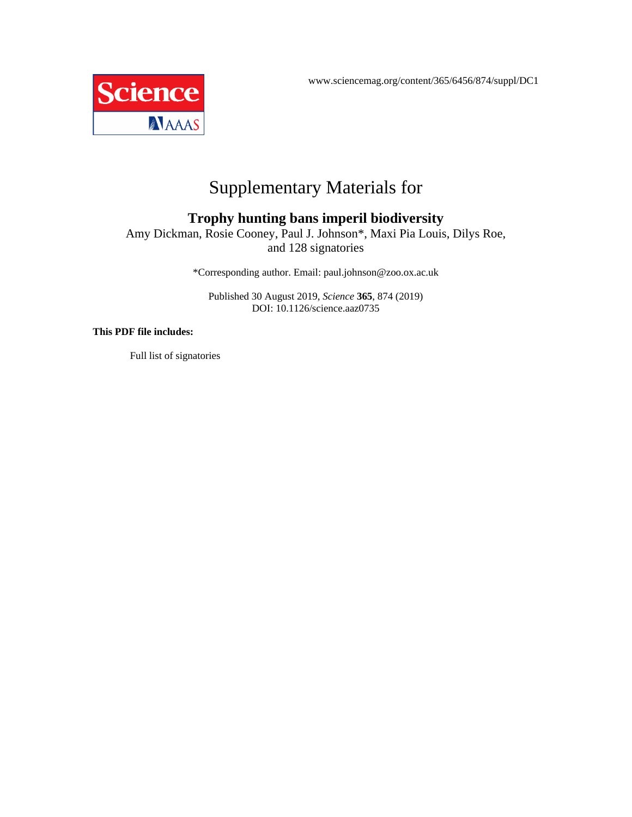www.sciencemag.org/content/365/6456/874/suppl/DC1



# Supplementary Materials for

## **Trophy hunting bans imperil biodiversity**

Amy Dickman, Rosie Cooney, Paul J. Johnson\*, Maxi Pia Louis, Dilys Roe, and 128 signatories

\*Corresponding author. Email: paul.johnson@zoo.ox.ac.uk

Published 30 August 2019, *Science* **365**, 874 (2019) DOI: 10.1126/science.aaz0735

### **This PDF file includes:**

Full list of signatories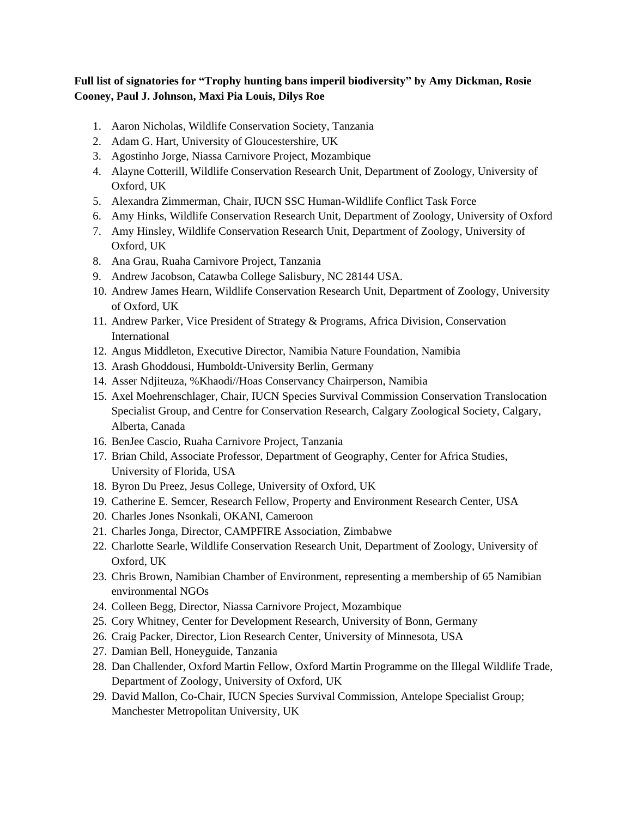## **Full list of signatories for "Trophy hunting bans imperil biodiversity" by Amy Dickman, Rosie Cooney, Paul J. Johnson, Maxi Pia Louis, Dilys Roe**

- 1. Aaron Nicholas, Wildlife Conservation Society, Tanzania
- 2. Adam G. Hart, University of Gloucestershire, UK
- 3. Agostinho Jorge, Niassa Carnivore Project, Mozambique
- 4. Alayne Cotterill, Wildlife Conservation Research Unit, Department of Zoology, University of Oxford, UK
- 5. Alexandra Zimmerman, Chair, IUCN SSC Human-Wildlife Conflict Task Force
- 6. Amy Hinks, Wildlife Conservation Research Unit, Department of Zoology, University of Oxford
- 7. Amy Hinsley, Wildlife Conservation Research Unit, Department of Zoology, University of Oxford, UK
- 8. Ana Grau, Ruaha Carnivore Project, Tanzania
- 9. Andrew Jacobson, Catawba College Salisbury, NC 28144 USA.
- 10. Andrew James Hearn, Wildlife Conservation Research Unit, Department of Zoology, University of Oxford, UK
- 11. Andrew Parker, Vice President of Strategy & Programs, Africa Division, Conservation International
- 12. Angus Middleton, Executive Director, Namibia Nature Foundation, Namibia
- 13. Arash Ghoddousi, Humboldt-University Berlin, Germany
- 14. Asser Ndjiteuza, %Khaodi//Hoas Conservancy Chairperson, Namibia
- 15. Axel Moehrenschlager, Chair, IUCN Species Survival Commission Conservation Translocation Specialist Group, and Centre for Conservation Research, Calgary Zoological Society, Calgary, Alberta, Canada
- 16. BenJee Cascio, Ruaha Carnivore Project, Tanzania
- 17. Brian Child, Associate Professor, Department of Geography, Center for Africa Studies, University of Florida, USA
- 18. Byron Du Preez, Jesus College, University of Oxford, UK
- 19. Catherine E. Semcer, Research Fellow, Property and Environment Research Center, USA
- 20. Charles Jones Nsonkali, OKANI, Cameroon
- 21. Charles Jonga, Director, CAMPFIRE Association, Zimbabwe
- 22. Charlotte Searle, Wildlife Conservation Research Unit, Department of Zoology, University of Oxford, UK
- 23. Chris Brown, Namibian Chamber of Environment, representing a membership of 65 Namibian environmental NGOs
- 24. Colleen Begg, Director, Niassa Carnivore Project, Mozambique
- 25. Cory Whitney, Center for Development Research, University of Bonn, Germany
- 26. Craig Packer, Director, Lion Research Center, University of Minnesota, USA
- 27. Damian Bell, Honeyguide, Tanzania
- 28. Dan Challender, Oxford Martin Fellow, Oxford Martin Programme on the Illegal Wildlife Trade, Department of Zoology, University of Oxford, UK
- 29. David Mallon, Co-Chair, IUCN Species Survival Commission, Antelope Specialist Group; Manchester Metropolitan University, UK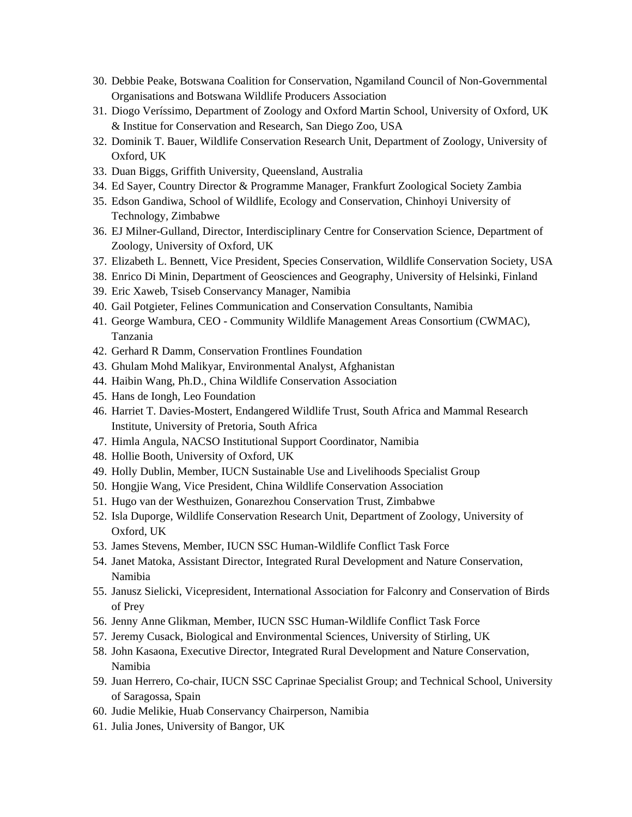- 30. Debbie Peake, Botswana Coalition for Conservation, Ngamiland Council of Non-Governmental Organisations and Botswana Wildlife Producers Association
- 31. Diogo Veríssimo, Department of Zoology and Oxford Martin School, University of Oxford, UK & Institue for Conservation and Research, San Diego Zoo, USA
- 32. Dominik T. Bauer, Wildlife Conservation Research Unit, Department of Zoology, University of Oxford, UK
- 33. Duan Biggs, Griffith University, Queensland, Australia
- 34. Ed Sayer, Country Director & Programme Manager, Frankfurt Zoological Society Zambia
- 35. Edson Gandiwa, School of Wildlife, Ecology and Conservation, Chinhoyi University of Technology, Zimbabwe
- 36. EJ Milner-Gulland, Director, Interdisciplinary Centre for Conservation Science, Department of Zoology, University of Oxford, UK
- 37. Elizabeth L. Bennett, Vice President, Species Conservation, Wildlife Conservation Society, USA
- 38. Enrico Di Minin, Department of Geosciences and Geography, University of Helsinki, Finland
- 39. Eric Xaweb, Tsiseb Conservancy Manager, Namibia
- 40. Gail Potgieter, Felines Communication and Conservation Consultants, Namibia
- 41. George Wambura, CEO Community Wildlife Management Areas Consortium (CWMAC), Tanzania
- 42. Gerhard R Damm, Conservation Frontlines Foundation
- 43. Ghulam Mohd Malikyar, Environmental Analyst, Afghanistan
- 44. Haibin Wang, Ph.D., China Wildlife Conservation Association
- 45. Hans de Iongh, Leo Foundation
- 46. Harriet T. Davies-Mostert, Endangered Wildlife Trust, South Africa and Mammal Research Institute, University of Pretoria, South Africa
- 47. Himla Angula, NACSO Institutional Support Coordinator, Namibia
- 48. Hollie Booth, University of Oxford, UK
- 49. Holly Dublin, Member, IUCN Sustainable Use and Livelihoods Specialist Group
- 50. Hongjie Wang, Vice President, China Wildlife Conservation Association
- 51. Hugo van der Westhuizen, Gonarezhou Conservation Trust, Zimbabwe
- 52. Isla Duporge, Wildlife Conservation Research Unit, Department of Zoology, University of Oxford, UK
- 53. James Stevens, Member, IUCN SSC Human-Wildlife Conflict Task Force
- 54. Janet Matoka, Assistant Director, Integrated Rural Development and Nature Conservation, Namibia
- 55. Janusz Sielicki, Vicepresident, International Association for Falconry and Conservation of Birds of Prey
- 56. Jenny Anne Glikman, Member, IUCN SSC Human-Wildlife Conflict Task Force
- 57. Jeremy Cusack, Biological and Environmental Sciences, University of Stirling, UK
- 58. John Kasaona, Executive Director, Integrated Rural Development and Nature Conservation, Namibia
- 59. Juan Herrero, Co-chair, IUCN SSC Caprinae Specialist Group; and Technical School, University of Saragossa, Spain
- 60. Judie Melikie, Huab Conservancy Chairperson, Namibia
- 61. Julia Jones, University of Bangor, UK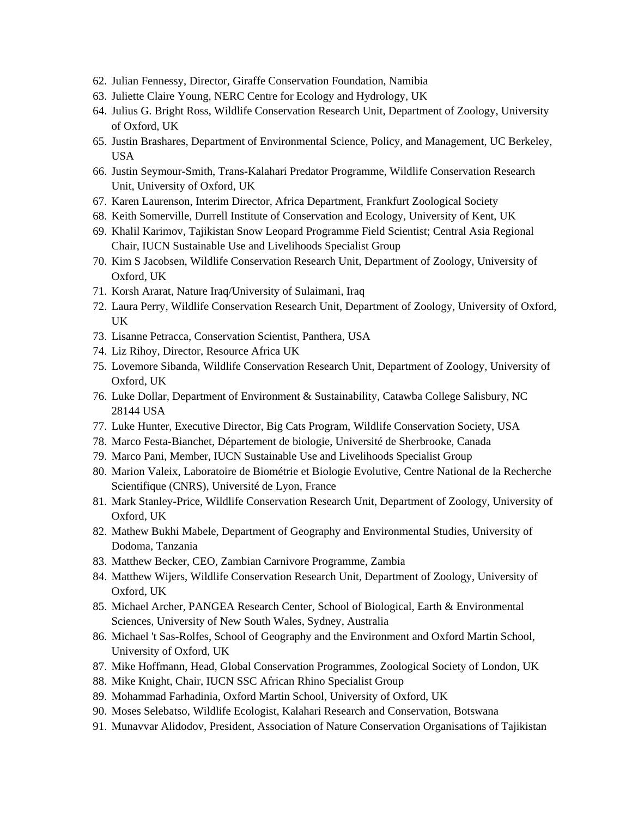- 62. Julian Fennessy, Director, Giraffe Conservation Foundation, Namibia
- 63. Juliette Claire Young, NERC Centre for Ecology and Hydrology, UK
- 64. Julius G. Bright Ross, Wildlife Conservation Research Unit, Department of Zoology, University of Oxford, UK
- 65. Justin Brashares, Department of Environmental Science, Policy, and Management, UC Berkeley, USA
- 66. Justin Seymour-Smith, Trans-Kalahari Predator Programme, Wildlife Conservation Research Unit, University of Oxford, UK
- 67. Karen Laurenson, Interim Director, Africa Department, Frankfurt Zoological Society
- 68. Keith Somerville, Durrell Institute of Conservation and Ecology, University of Kent, UK
- 69. Khalil Karimov, Tajikistan Snow Leopard Programme Field Scientist; Central Asia Regional Chair, IUCN Sustainable Use and Livelihoods Specialist Group
- 70. Kim S Jacobsen, Wildlife Conservation Research Unit, Department of Zoology, University of Oxford, UK
- 71. Korsh Ararat, Nature Iraq/University of Sulaimani, Iraq
- 72. Laura Perry, Wildlife Conservation Research Unit, Department of Zoology, University of Oxford, UK
- 73. Lisanne Petracca, Conservation Scientist, Panthera, USA
- 74. Liz Rihoy, Director, Resource Africa UK
- 75. Lovemore Sibanda, Wildlife Conservation Research Unit, Department of Zoology, University of Oxford, UK
- 76. Luke Dollar, Department of Environment & Sustainability, Catawba College Salisbury, NC 28144 USA
- 77. Luke Hunter, Executive Director, Big Cats Program, Wildlife Conservation Society, USA
- 78. Marco Festa-Bianchet, Département de biologie, Université de Sherbrooke, Canada
- 79. Marco Pani, Member, IUCN Sustainable Use and Livelihoods Specialist Group
- 80. Marion Valeix, Laboratoire de Biométrie et Biologie Evolutive, Centre National de la Recherche Scientifique (CNRS), Université de Lyon, France
- 81. Mark Stanley-Price, Wildlife Conservation Research Unit, Department of Zoology, University of Oxford, UK
- 82. Mathew Bukhi Mabele, Department of Geography and Environmental Studies, University of Dodoma, Tanzania
- 83. Matthew Becker, CEO, Zambian Carnivore Programme, Zambia
- 84. Matthew Wijers, Wildlife Conservation Research Unit, Department of Zoology, University of Oxford, UK
- 85. Michael Archer, PANGEA Research Center, School of Biological, Earth & Environmental Sciences, University of New South Wales, Sydney, Australia
- 86. Michael 't Sas-Rolfes, School of Geography and the Environment and Oxford Martin School, University of Oxford, UK
- 87. Mike Hoffmann, Head, Global Conservation Programmes, Zoological Society of London, UK
- 88. Mike Knight, Chair, IUCN SSC African Rhino Specialist Group
- 89. Mohammad Farhadinia, Oxford Martin School, University of Oxford, UK
- 90. Moses Selebatso, Wildlife Ecologist, Kalahari Research and Conservation, Botswana
- 91. Munavvar Alidodov, President, Association of Nature Conservation Organisations of Tajikistan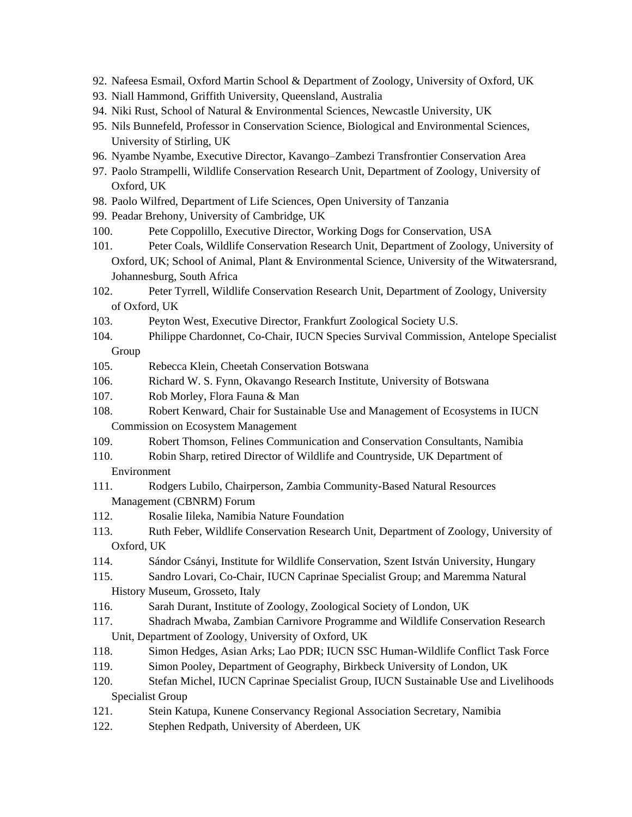- 92. Nafeesa Esmail, Oxford Martin School & Department of Zoology, University of Oxford, UK
- 93. Niall Hammond, Griffith University, Queensland, Australia
- 94. Niki Rust, School of Natural & Environmental Sciences, Newcastle University, UK
- 95. Nils Bunnefeld, Professor in Conservation Science, Biological and Environmental Sciences, University of Stirling, UK
- 96. Nyambe Nyambe, Executive Director, Kavango–Zambezi Transfrontier Conservation Area
- 97. Paolo Strampelli, Wildlife Conservation Research Unit, Department of Zoology, University of Oxford, UK
- 98. Paolo Wilfred, Department of Life Sciences, Open University of Tanzania
- 99. Peadar Brehony, University of Cambridge, UK
- 100. Pete Coppolillo, Executive Director, Working Dogs for Conservation, USA
- 101. Peter Coals, Wildlife Conservation Research Unit, Department of Zoology, University of Oxford, UK; School of Animal, Plant & Environmental Science, University of the Witwatersrand, Johannesburg, South Africa
- 102. Peter Tyrrell, Wildlife Conservation Research Unit, Department of Zoology, University of Oxford, UK
- 103. Peyton West, Executive Director, Frankfurt Zoological Society U.S.
- 104. Philippe Chardonnet, Co-Chair, IUCN Species Survival Commission, Antelope Specialist Group
- 105. Rebecca Klein, Cheetah Conservation Botswana
- 106. Richard W. S. Fynn, Okavango Research Institute, University of Botswana
- 107. Rob Morley, Flora Fauna & Man
- 108. Robert Kenward, Chair for Sustainable Use and Management of Ecosystems in IUCN Commission on Ecosystem Management
- 109. Robert Thomson, Felines Communication and Conservation Consultants, Namibia
- 110. Robin Sharp, retired Director of Wildlife and Countryside, UK Department of Environment
- 111. Rodgers Lubilo, Chairperson, Zambia Community-Based Natural Resources Management (CBNRM) Forum
- 112. Rosalie Iileka, Namibia Nature Foundation
- 113. Ruth Feber, Wildlife Conservation Research Unit, Department of Zoology, University of Oxford, UK
- 114. Sándor Csányi, Institute for Wildlife Conservation, Szent István University, Hungary
- 115. Sandro Lovari, Co-Chair, IUCN Caprinae Specialist Group; and Maremma Natural History Museum, Grosseto, Italy
- 116. Sarah Durant, Institute of Zoology, Zoological Society of London, UK
- 117. Shadrach Mwaba, Zambian Carnivore Programme and Wildlife Conservation Research Unit, Department of Zoology, University of Oxford, UK
- 118. Simon Hedges, Asian Arks; Lao PDR; IUCN SSC Human-Wildlife Conflict Task Force
- 119. Simon Pooley, Department of Geography, Birkbeck University of London, UK
- 120. Stefan Michel, IUCN Caprinae Specialist Group, IUCN Sustainable Use and Livelihoods Specialist Group
- 121. Stein Katupa, Kunene Conservancy Regional Association Secretary, Namibia
- 122. Stephen Redpath, University of Aberdeen, UK